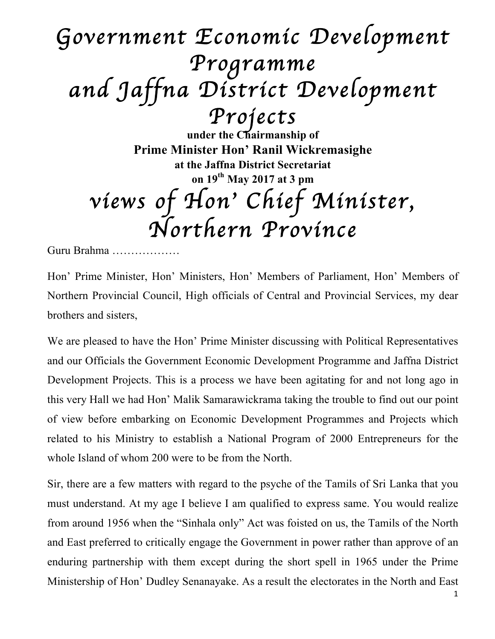## *Government Economic Development Programme and Jaffna District Development*

*Projects* **under the Chairmanship of Prime Minister Hon' Ranil Wickremasighe at the Jaffna District Secretariat on 19th May 2017 at 3 pm** *views of Hon*' *Chief Minister, Northern Province* 

Guru Brahma ………………

Hon' Prime Minister, Hon' Ministers, Hon' Members of Parliament, Hon' Members of Northern Provincial Council, High officials of Central and Provincial Services, my dear brothers and sisters,

We are pleased to have the Hon' Prime Minister discussing with Political Representatives and our Officials the Government Economic Development Programme and Jaffna District Development Projects. This is a process we have been agitating for and not long ago in this very Hall we had Hon' Malik Samarawickrama taking the trouble to find out our point of view before embarking on Economic Development Programmes and Projects which related to his Ministry to establish a National Program of 2000 Entrepreneurs for the whole Island of whom 200 were to be from the North.

Sir, there are a few matters with regard to the psyche of the Tamils of Sri Lanka that you must understand. At my age I believe I am qualified to express same. You would realize from around 1956 when the "Sinhala only" Act was foisted on us, the Tamils of the North and East preferred to critically engage the Government in power rather than approve of an enduring partnership with them except during the short spell in 1965 under the Prime Ministership of Hon' Dudley Senanayake. As a result the electorates in the North and East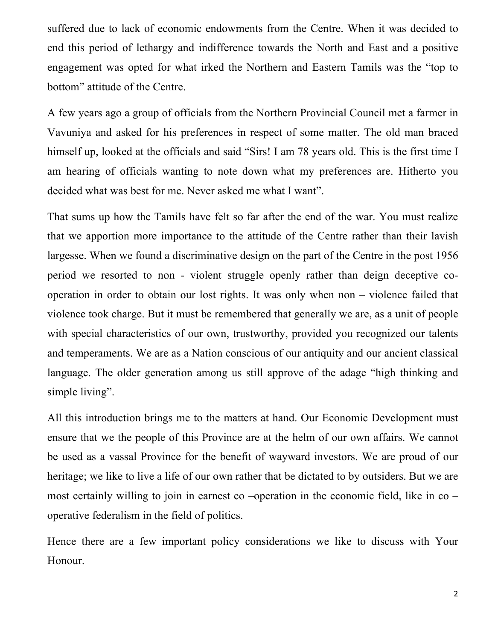suffered due to lack of economic endowments from the Centre. When it was decided to end this period of lethargy and indifference towards the North and East and a positive engagement was opted for what irked the Northern and Eastern Tamils was the "top to bottom" attitude of the Centre.

A few years ago a group of officials from the Northern Provincial Council met a farmer in Vavuniya and asked for his preferences in respect of some matter. The old man braced himself up, looked at the officials and said "Sirs! I am 78 years old. This is the first time I am hearing of officials wanting to note down what my preferences are. Hitherto you decided what was best for me. Never asked me what I want".

That sums up how the Tamils have felt so far after the end of the war. You must realize that we apportion more importance to the attitude of the Centre rather than their lavish largesse. When we found a discriminative design on the part of the Centre in the post 1956 period we resorted to non - violent struggle openly rather than deign deceptive cooperation in order to obtain our lost rights. It was only when non – violence failed that violence took charge. But it must be remembered that generally we are, as a unit of people with special characteristics of our own, trustworthy, provided you recognized our talents and temperaments. We are as a Nation conscious of our antiquity and our ancient classical language. The older generation among us still approve of the adage "high thinking and simple living".

All this introduction brings me to the matters at hand. Our Economic Development must ensure that we the people of this Province are at the helm of our own affairs. We cannot be used as a vassal Province for the benefit of wayward investors. We are proud of our heritage; we like to live a life of our own rather that be dictated to by outsiders. But we are most certainly willing to join in earnest co –operation in the economic field, like in co – operative federalism in the field of politics.

Hence there are a few important policy considerations we like to discuss with Your Honour.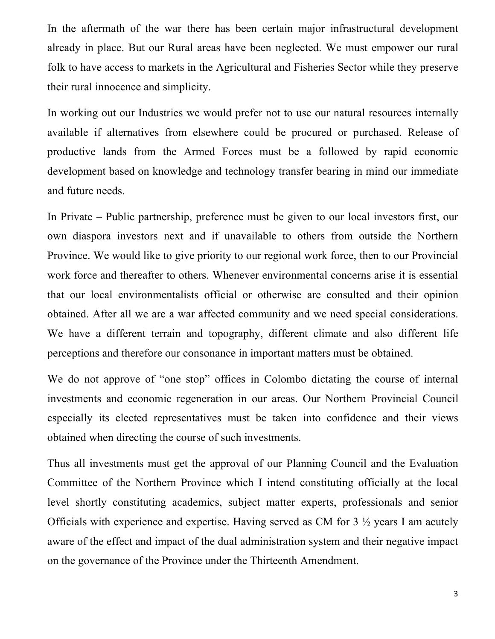In the aftermath of the war there has been certain major infrastructural development already in place. But our Rural areas have been neglected. We must empower our rural folk to have access to markets in the Agricultural and Fisheries Sector while they preserve their rural innocence and simplicity.

In working out our Industries we would prefer not to use our natural resources internally available if alternatives from elsewhere could be procured or purchased. Release of productive lands from the Armed Forces must be a followed by rapid economic development based on knowledge and technology transfer bearing in mind our immediate and future needs.

In Private – Public partnership, preference must be given to our local investors first, our own diaspora investors next and if unavailable to others from outside the Northern Province. We would like to give priority to our regional work force, then to our Provincial work force and thereafter to others. Whenever environmental concerns arise it is essential that our local environmentalists official or otherwise are consulted and their opinion obtained. After all we are a war affected community and we need special considerations. We have a different terrain and topography, different climate and also different life perceptions and therefore our consonance in important matters must be obtained.

We do not approve of "one stop" offices in Colombo dictating the course of internal investments and economic regeneration in our areas. Our Northern Provincial Council especially its elected representatives must be taken into confidence and their views obtained when directing the course of such investments.

Thus all investments must get the approval of our Planning Council and the Evaluation Committee of the Northern Province which I intend constituting officially at the local level shortly constituting academics, subject matter experts, professionals and senior Officials with experience and expertise. Having served as CM for 3 ½ years I am acutely aware of the effect and impact of the dual administration system and their negative impact on the governance of the Province under the Thirteenth Amendment.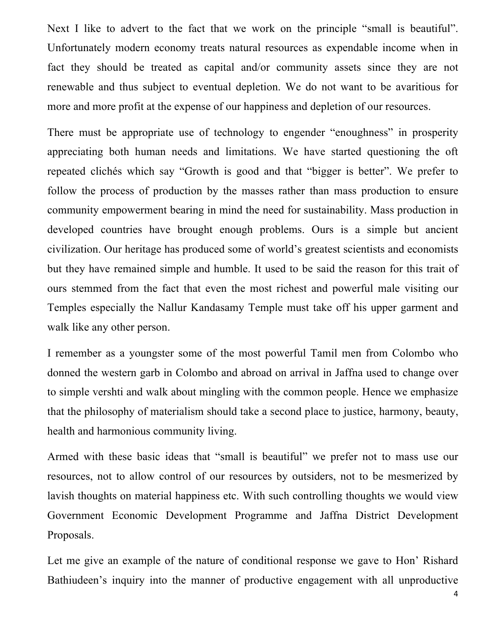Next I like to advert to the fact that we work on the principle "small is beautiful". Unfortunately modern economy treats natural resources as expendable income when in fact they should be treated as capital and/or community assets since they are not renewable and thus subject to eventual depletion. We do not want to be avaritious for more and more profit at the expense of our happiness and depletion of our resources.

There must be appropriate use of technology to engender "enoughness" in prosperity appreciating both human needs and limitations. We have started questioning the oft repeated clichés which say "Growth is good and that "bigger is better". We prefer to follow the process of production by the masses rather than mass production to ensure community empowerment bearing in mind the need for sustainability. Mass production in developed countries have brought enough problems. Ours is a simple but ancient civilization. Our heritage has produced some of world's greatest scientists and economists but they have remained simple and humble. It used to be said the reason for this trait of ours stemmed from the fact that even the most richest and powerful male visiting our Temples especially the Nallur Kandasamy Temple must take off his upper garment and walk like any other person.

I remember as a youngster some of the most powerful Tamil men from Colombo who donned the western garb in Colombo and abroad on arrival in Jaffna used to change over to simple vershti and walk about mingling with the common people. Hence we emphasize that the philosophy of materialism should take a second place to justice, harmony, beauty, health and harmonious community living.

Armed with these basic ideas that "small is beautiful" we prefer not to mass use our resources, not to allow control of our resources by outsiders, not to be mesmerized by lavish thoughts on material happiness etc. With such controlling thoughts we would view Government Economic Development Programme and Jaffna District Development Proposals.

Let me give an example of the nature of conditional response we gave to Hon' Rishard Bathiudeen's inquiry into the manner of productive engagement with all unproductive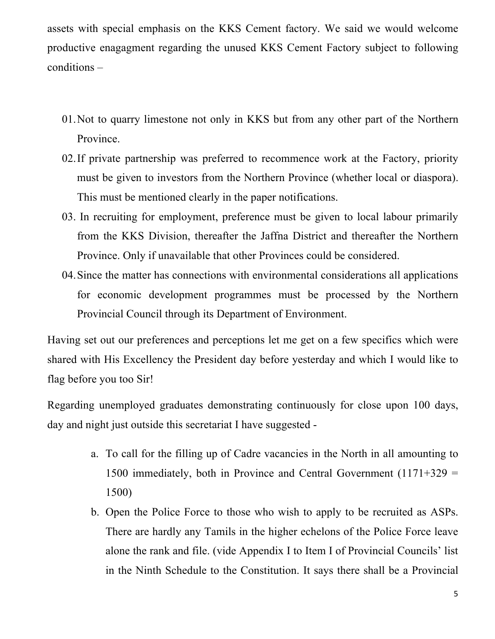assets with special emphasis on the KKS Cement factory. We said we would welcome productive enagagment regarding the unused KKS Cement Factory subject to following conditions –

- 01.Not to quarry limestone not only in KKS but from any other part of the Northern Province.
- 02.If private partnership was preferred to recommence work at the Factory, priority must be given to investors from the Northern Province (whether local or diaspora). This must be mentioned clearly in the paper notifications.
- 03. In recruiting for employment, preference must be given to local labour primarily from the KKS Division, thereafter the Jaffna District and thereafter the Northern Province. Only if unavailable that other Provinces could be considered.
- 04.Since the matter has connections with environmental considerations all applications for economic development programmes must be processed by the Northern Provincial Council through its Department of Environment.

Having set out our preferences and perceptions let me get on a few specifics which were shared with His Excellency the President day before yesterday and which I would like to flag before you too Sir!

Regarding unemployed graduates demonstrating continuously for close upon 100 days, day and night just outside this secretariat I have suggested -

- a. To call for the filling up of Cadre vacancies in the North in all amounting to 1500 immediately, both in Province and Central Government  $(1171+329)$  = 1500)
- b. Open the Police Force to those who wish to apply to be recruited as ASPs. There are hardly any Tamils in the higher echelons of the Police Force leave alone the rank and file. (vide Appendix I to Item I of Provincial Councils' list in the Ninth Schedule to the Constitution. It says there shall be a Provincial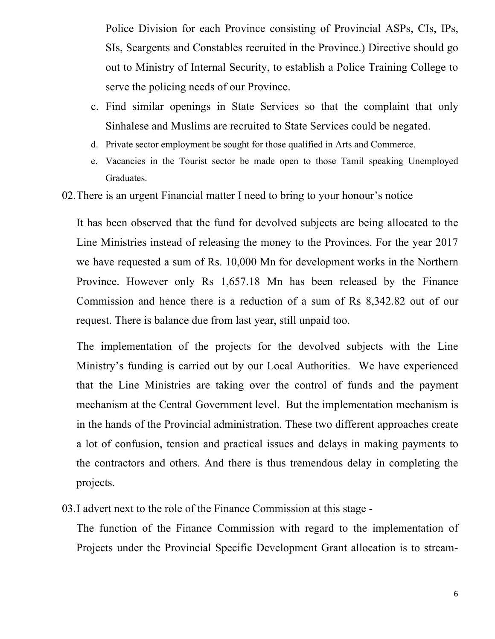Police Division for each Province consisting of Provincial ASPs, CIs, IPs, SIs, Seargents and Constables recruited in the Province.) Directive should go out to Ministry of Internal Security, to establish a Police Training College to serve the policing needs of our Province.

- c. Find similar openings in State Services so that the complaint that only Sinhalese and Muslims are recruited to State Services could be negated.
- d. Private sector employment be sought for those qualified in Arts and Commerce.
- e. Vacancies in the Tourist sector be made open to those Tamil speaking Unemployed Graduates.
- 02.There is an urgent Financial matter I need to bring to your honour's notice

It has been observed that the fund for devolved subjects are being allocated to the Line Ministries instead of releasing the money to the Provinces. For the year 2017 we have requested a sum of Rs. 10,000 Mn for development works in the Northern Province. However only Rs 1,657.18 Mn has been released by the Finance Commission and hence there is a reduction of a sum of Rs 8,342.82 out of our request. There is balance due from last year, still unpaid too.

The implementation of the projects for the devolved subjects with the Line Ministry's funding is carried out by our Local Authorities. We have experienced that the Line Ministries are taking over the control of funds and the payment mechanism at the Central Government level. But the implementation mechanism is in the hands of the Provincial administration. These two different approaches create a lot of confusion, tension and practical issues and delays in making payments to the contractors and others. And there is thus tremendous delay in completing the projects.

03.I advert next to the role of the Finance Commission at this stage -

The function of the Finance Commission with regard to the implementation of Projects under the Provincial Specific Development Grant allocation is to stream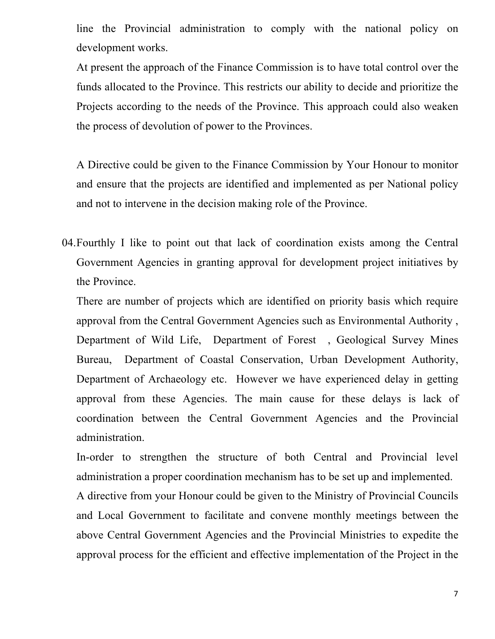line the Provincial administration to comply with the national policy on development works.

At present the approach of the Finance Commission is to have total control over the funds allocated to the Province. This restricts our ability to decide and prioritize the Projects according to the needs of the Province. This approach could also weaken the process of devolution of power to the Provinces.

A Directive could be given to the Finance Commission by Your Honour to monitor and ensure that the projects are identified and implemented as per National policy and not to intervene in the decision making role of the Province.

04.Fourthly I like to point out that lack of coordination exists among the Central Government Agencies in granting approval for development project initiatives by the Province.

There are number of projects which are identified on priority basis which require approval from the Central Government Agencies such as Environmental Authority , Department of Wild Life, Department of Forest , Geological Survey Mines Bureau, Department of Coastal Conservation, Urban Development Authority, Department of Archaeology etc. However we have experienced delay in getting approval from these Agencies. The main cause for these delays is lack of coordination between the Central Government Agencies and the Provincial administration.

In-order to strengthen the structure of both Central and Provincial level administration a proper coordination mechanism has to be set up and implemented.

A directive from your Honour could be given to the Ministry of Provincial Councils and Local Government to facilitate and convene monthly meetings between the above Central Government Agencies and the Provincial Ministries to expedite the approval process for the efficient and effective implementation of the Project in the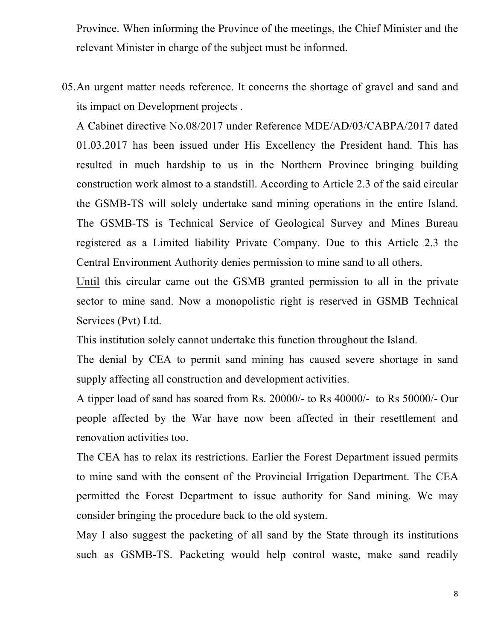Province. When informing the Province of the meetings, the Chief Minister and the relevant Minister in charge of the subject must be informed.

05.An urgent matter needs reference. It concerns the shortage of gravel and sand and its impact on Development projects .

A Cabinet directive No.08/2017 under Reference MDE/AD/03/CABPA/2017 dated 01.03.2017 has been issued under His Excellency the President hand. This has resulted in much hardship to us in the Northern Province bringing building construction work almost to a standstill. According to Article 2.3 of the said circular the GSMB-TS will solely undertake sand mining operations in the entire Island. The GSMB-TS is Technical Service of Geological Survey and Mines Bureau registered as a Limited liability Private Company. Due to this Article 2.3 the Central Environment Authority denies permission to mine sand to all others.

Until this circular came out the GSMB granted permission to all in the private sector to mine sand. Now a monopolistic right is reserved in GSMB Technical Services (Pvt) Ltd.

This institution solely cannot undertake this function throughout the Island.

The denial by CEA to permit sand mining has caused severe shortage in sand supply affecting all construction and development activities.

A tipper load of sand has soared from Rs. 20000/- to Rs 40000/- to Rs 50000/- Our people affected by the War have now been affected in their resettlement and renovation activities too.

The CEA has to relax its restrictions. Earlier the Forest Department issued permits to mine sand with the consent of the Provincial Irrigation Department. The CEA permitted the Forest Department to issue authority for Sand mining. We may consider bringing the procedure back to the old system.

May I also suggest the packeting of all sand by the State through its institutions such as GSMB-TS. Packeting would help control waste, make sand readily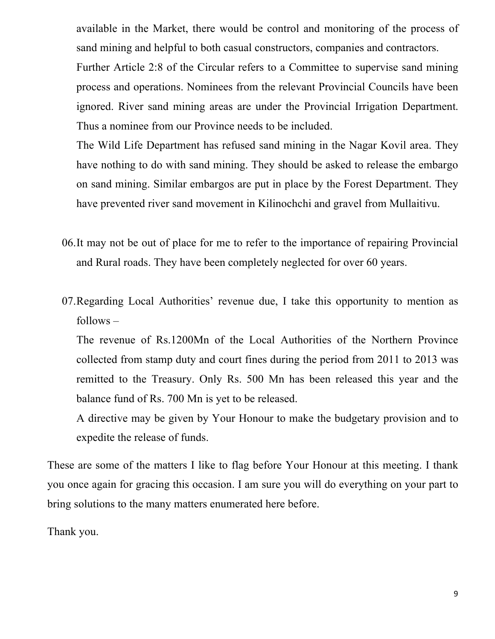available in the Market, there would be control and monitoring of the process of sand mining and helpful to both casual constructors, companies and contractors.

Further Article 2:8 of the Circular refers to a Committee to supervise sand mining process and operations. Nominees from the relevant Provincial Councils have been ignored. River sand mining areas are under the Provincial Irrigation Department. Thus a nominee from our Province needs to be included.

The Wild Life Department has refused sand mining in the Nagar Kovil area. They have nothing to do with sand mining. They should be asked to release the embargo on sand mining. Similar embargos are put in place by the Forest Department. They have prevented river sand movement in Kilinochchi and gravel from Mullaitivu.

- 06.It may not be out of place for me to refer to the importance of repairing Provincial and Rural roads. They have been completely neglected for over 60 years.
- 07.Regarding Local Authorities' revenue due, I take this opportunity to mention as follows –

The revenue of Rs.1200Mn of the Local Authorities of the Northern Province collected from stamp duty and court fines during the period from 2011 to 2013 was remitted to the Treasury. Only Rs. 500 Mn has been released this year and the balance fund of Rs. 700 Mn is yet to be released.

A directive may be given by Your Honour to make the budgetary provision and to expedite the release of funds.

These are some of the matters I like to flag before Your Honour at this meeting. I thank you once again for gracing this occasion. I am sure you will do everything on your part to bring solutions to the many matters enumerated here before.

Thank you.